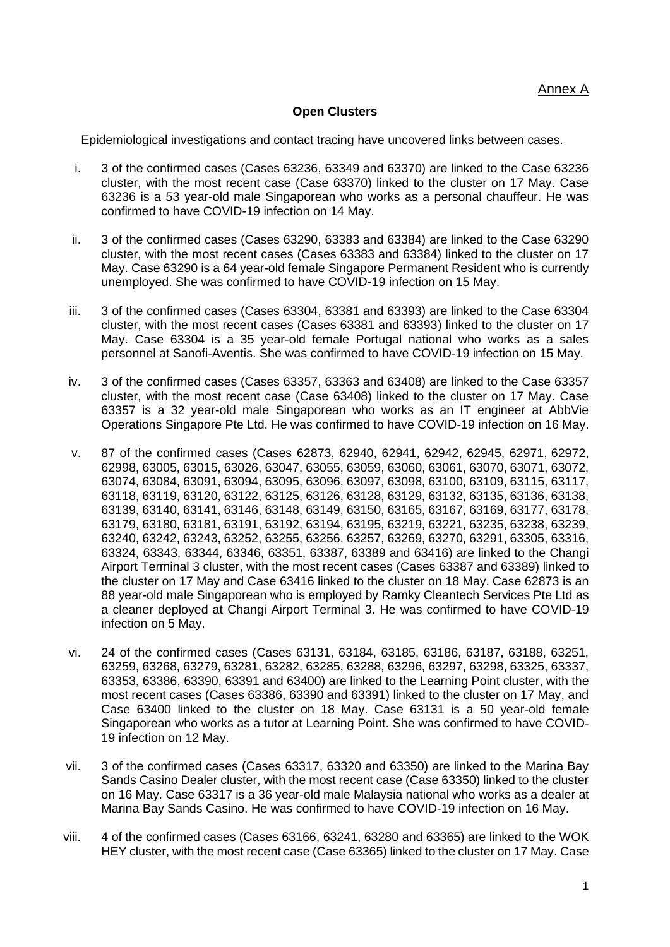### **Open Clusters**

Epidemiological investigations and contact tracing have uncovered links between cases.

- i. 3 of the confirmed cases (Cases 63236, 63349 and 63370) are linked to the Case 63236 cluster, with the most recent case (Case 63370) linked to the cluster on 17 May. Case 63236 is a 53 year-old male Singaporean who works as a personal chauffeur. He was confirmed to have COVID-19 infection on 14 May.
- ii. 3 of the confirmed cases (Cases 63290, 63383 and 63384) are linked to the Case 63290 cluster, with the most recent cases (Cases 63383 and 63384) linked to the cluster on 17 May. Case 63290 is a 64 year-old female Singapore Permanent Resident who is currently unemployed. She was confirmed to have COVID-19 infection on 15 May.
- iii. 3 of the confirmed cases (Cases 63304, 63381 and 63393) are linked to the Case 63304 cluster, with the most recent cases (Cases 63381 and 63393) linked to the cluster on 17 May. Case 63304 is a 35 year-old female Portugal national who works as a sales personnel at Sanofi-Aventis. She was confirmed to have COVID-19 infection on 15 May.
- iv. 3 of the confirmed cases (Cases 63357, 63363 and 63408) are linked to the Case 63357 cluster, with the most recent case (Case 63408) linked to the cluster on 17 May. Case 63357 is a 32 year-old male Singaporean who works as an IT engineer at AbbVie Operations Singapore Pte Ltd. He was confirmed to have COVID-19 infection on 16 May.
- v. 87 of the confirmed cases (Cases 62873, 62940, 62941, 62942, 62945, 62971, 62972, 62998, 63005, 63015, 63026, 63047, 63055, 63059, 63060, 63061, 63070, 63071, 63072, 63074, 63084, 63091, 63094, 63095, 63096, 63097, 63098, 63100, 63109, 63115, 63117, 63118, 63119, 63120, 63122, 63125, 63126, 63128, 63129, 63132, 63135, 63136, 63138, 63139, 63140, 63141, 63146, 63148, 63149, 63150, 63165, 63167, 63169, 63177, 63178, 63179, 63180, 63181, 63191, 63192, 63194, 63195, 63219, 63221, 63235, 63238, 63239, 63240, 63242, 63243, 63252, 63255, 63256, 63257, 63269, 63270, 63291, 63305, 63316, 63324, 63343, 63344, 63346, 63351, 63387, 63389 and 63416) are linked to the Changi Airport Terminal 3 cluster, with the most recent cases (Cases 63387 and 63389) linked to the cluster on 17 May and Case 63416 linked to the cluster on 18 May. Case 62873 is an 88 year-old male Singaporean who is employed by Ramky Cleantech Services Pte Ltd as a cleaner deployed at Changi Airport Terminal 3. He was confirmed to have COVID-19 infection on 5 May.
- vi. 24 of the confirmed cases (Cases 63131, 63184, 63185, 63186, 63187, 63188, 63251, 63259, 63268, 63279, 63281, 63282, 63285, 63288, 63296, 63297, 63298, 63325, 63337, 63353, 63386, 63390, 63391 and 63400) are linked to the Learning Point cluster, with the most recent cases (Cases 63386, 63390 and 63391) linked to the cluster on 17 May, and Case 63400 linked to the cluster on 18 May. Case 63131 is a 50 year-old female Singaporean who works as a tutor at Learning Point. She was confirmed to have COVID-19 infection on 12 May.
- vii. 3 of the confirmed cases (Cases 63317, 63320 and 63350) are linked to the Marina Bay Sands Casino Dealer cluster, with the most recent case (Case 63350) linked to the cluster on 16 May. Case 63317 is a 36 year-old male Malaysia national who works as a dealer at Marina Bay Sands Casino. He was confirmed to have COVID-19 infection on 16 May.
- viii. 4 of the confirmed cases (Cases 63166, 63241, 63280 and 63365) are linked to the WOK HEY cluster, with the most recent case (Case 63365) linked to the cluster on 17 May. Case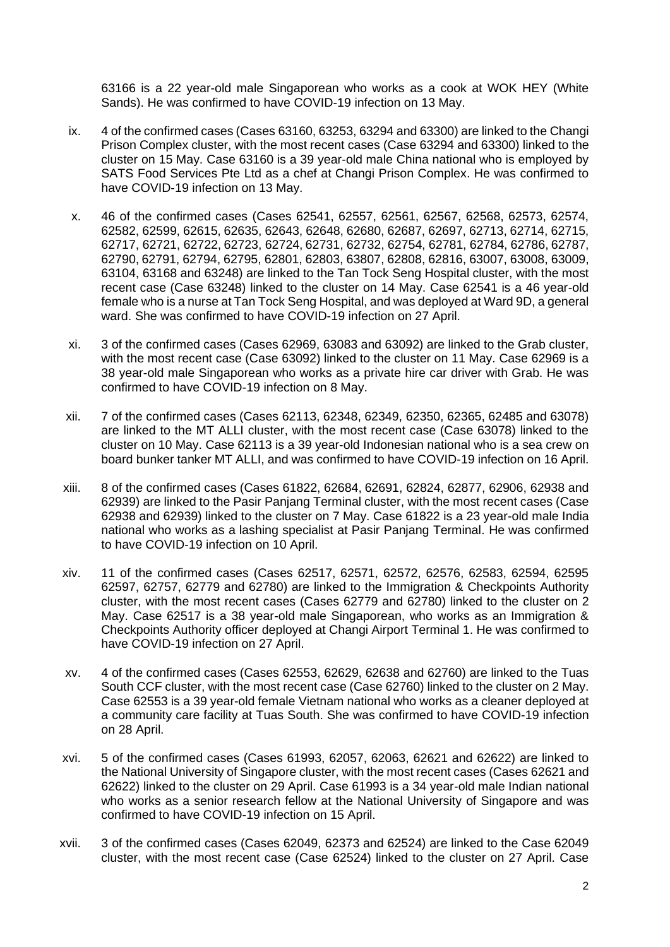63166 is a 22 year-old male Singaporean who works as a cook at WOK HEY (White Sands). He was confirmed to have COVID-19 infection on 13 May.

- ix. 4 of the confirmed cases (Cases 63160, 63253, 63294 and 63300) are linked to the Changi Prison Complex cluster, with the most recent cases (Case 63294 and 63300) linked to the cluster on 15 May. Case 63160 is a 39 year-old male China national who is employed by SATS Food Services Pte Ltd as a chef at Changi Prison Complex. He was confirmed to have COVID-19 infection on 13 May.
- x. 46 of the confirmed cases (Cases 62541, 62557, 62561, 62567, 62568, 62573, 62574, 62582, 62599, 62615, 62635, 62643, 62648, 62680, 62687, 62697, 62713, 62714, 62715, 62717, 62721, 62722, 62723, 62724, 62731, 62732, 62754, 62781, 62784, 62786, 62787, 62790, 62791, 62794, 62795, 62801, 62803, 63807, 62808, 62816, 63007, 63008, 63009, 63104, 63168 and 63248) are linked to the Tan Tock Seng Hospital cluster, with the most recent case (Case 63248) linked to the cluster on 14 May. Case 62541 is a 46 year-old female who is a nurse at Tan Tock Seng Hospital, and was deployed at Ward 9D, a general ward. She was confirmed to have COVID-19 infection on 27 April.
- xi. 3 of the confirmed cases (Cases 62969, 63083 and 63092) are linked to the Grab cluster, with the most recent case (Case 63092) linked to the cluster on 11 May. Case 62969 is a 38 year-old male Singaporean who works as a private hire car driver with Grab. He was confirmed to have COVID-19 infection on 8 May.
- xii. 7 of the confirmed cases (Cases 62113, 62348, 62349, 62350, 62365, 62485 and 63078) are linked to the MT ALLI cluster, with the most recent case (Case 63078) linked to the cluster on 10 May. Case 62113 is a 39 year-old Indonesian national who is a sea crew on board bunker tanker MT ALLI, and was confirmed to have COVID-19 infection on 16 April.
- xiii. 8 of the confirmed cases (Cases 61822, 62684, 62691, 62824, 62877, 62906, 62938 and 62939) are linked to the Pasir Panjang Terminal cluster, with the most recent cases (Case 62938 and 62939) linked to the cluster on 7 May. Case 61822 is a 23 year-old male India national who works as a lashing specialist at Pasir Panjang Terminal. He was confirmed to have COVID-19 infection on 10 April.
- xiv. 11 of the confirmed cases (Cases 62517, 62571, 62572, 62576, 62583, 62594, 62595 62597, 62757, 62779 and 62780) are linked to the Immigration & Checkpoints Authority cluster, with the most recent cases (Cases 62779 and 62780) linked to the cluster on 2 May. Case 62517 is a 38 year-old male Singaporean, who works as an Immigration & Checkpoints Authority officer deployed at Changi Airport Terminal 1. He was confirmed to have COVID-19 infection on 27 April.
- xv. 4 of the confirmed cases (Cases 62553, 62629, 62638 and 62760) are linked to the Tuas South CCF cluster, with the most recent case (Case 62760) linked to the cluster on 2 May. Case 62553 is a 39 year-old female Vietnam national who works as a cleaner deployed at a community care facility at Tuas South. She was confirmed to have COVID-19 infection on 28 April.
- xvi. 5 of the confirmed cases (Cases 61993, 62057, 62063, 62621 and 62622) are linked to the National University of Singapore cluster, with the most recent cases (Cases 62621 and 62622) linked to the cluster on 29 April. Case 61993 is a 34 year-old male Indian national who works as a senior research fellow at the National University of Singapore and was confirmed to have COVID-19 infection on 15 April.
- xvii. 3 of the confirmed cases (Cases 62049, 62373 and 62524) are linked to the Case 62049 cluster, with the most recent case (Case 62524) linked to the cluster on 27 April. Case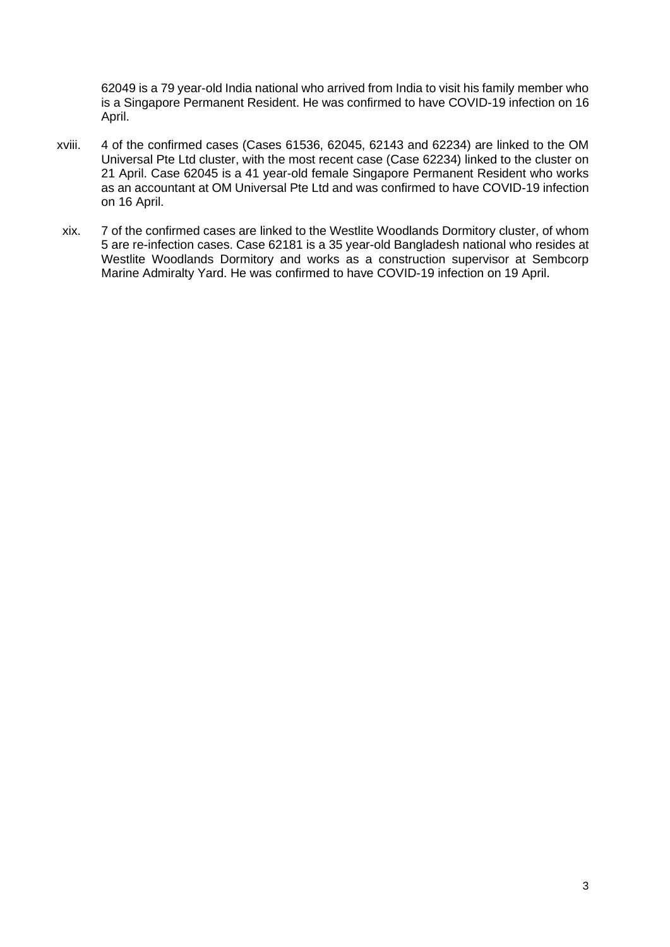62049 is a 79 year-old India national who arrived from India to visit his family member who is a Singapore Permanent Resident. He was confirmed to have COVID-19 infection on 16 April.

- xviii. 4 of the confirmed cases (Cases 61536, 62045, 62143 and 62234) are linked to the OM Universal Pte Ltd cluster, with the most recent case (Case 62234) linked to the cluster on 21 April. Case 62045 is a 41 year-old female Singapore Permanent Resident who works as an accountant at OM Universal Pte Ltd and was confirmed to have COVID-19 infection on 16 April.
- xix. 7 of the confirmed cases are linked to the Westlite Woodlands Dormitory cluster, of whom 5 are re-infection cases. Case 62181 is a 35 year-old Bangladesh national who resides at Westlite Woodlands Dormitory and works as a construction supervisor at Sembcorp Marine Admiralty Yard. He was confirmed to have COVID-19 infection on 19 April.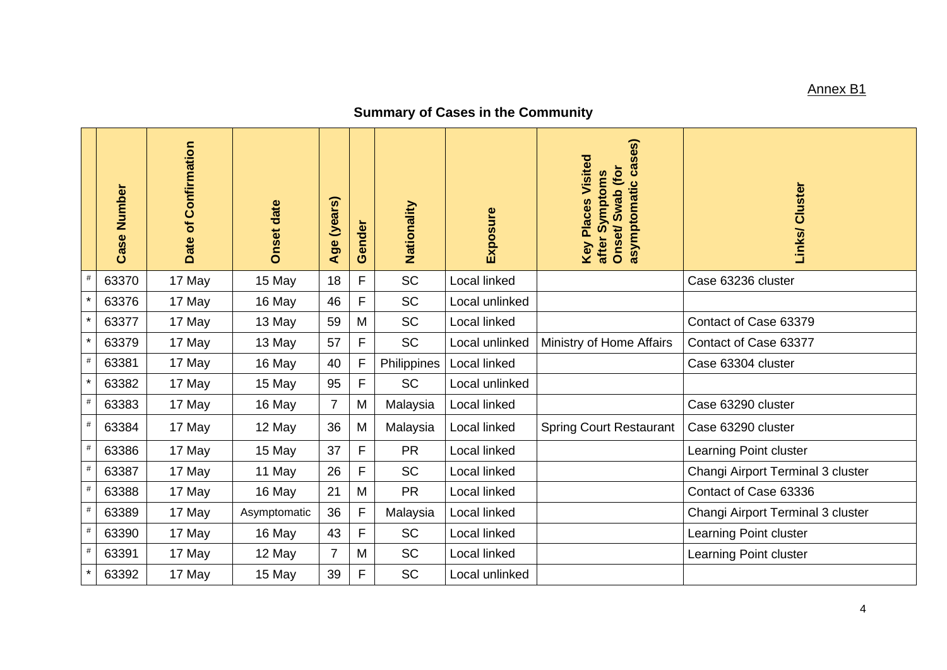## Annex B1

# **Summary of Cases in the Community**

|         | Number<br>Case | Confirmation<br>Date of | <b>Onset date</b> | (years)<br>Age | Gender       | Nationality | Exposure       | asymptomatic cases)<br><b>Key Places Visited</b><br>Swab (for<br>after Symptoms<br>Onset/ | Links/ Cluster                    |
|---------|----------------|-------------------------|-------------------|----------------|--------------|-------------|----------------|-------------------------------------------------------------------------------------------|-----------------------------------|
| #       | 63370          | 17 May                  | 15 May            | 18             | F            | <b>SC</b>   | Local linked   |                                                                                           | Case 63236 cluster                |
|         | 63376          | 17 May                  | 16 May            | 46             | F            | <b>SC</b>   | Local unlinked |                                                                                           |                                   |
| $\star$ | 63377          | 17 May                  | 13 May            | 59             | M            | SC          | Local linked   |                                                                                           | Contact of Case 63379             |
| $\star$ | 63379          | 17 May                  | 13 May            | 57             | F            | <b>SC</b>   | Local unlinked | Ministry of Home Affairs                                                                  | Contact of Case 63377             |
| #       | 63381          | 17 May                  | 16 May            | 40             | $\mathsf F$  | Philippines | Local linked   |                                                                                           | Case 63304 cluster                |
| $\star$ | 63382          | 17 May                  | 15 May            | 95             | F            | <b>SC</b>   | Local unlinked |                                                                                           |                                   |
| #       | 63383          | 17 May                  | 16 May            | $\overline{7}$ | M            | Malaysia    | Local linked   |                                                                                           | Case 63290 cluster                |
| $\#$    | 63384          | 17 May                  | 12 May            | 36             | M            | Malaysia    | Local linked   | <b>Spring Court Restaurant</b>                                                            | Case 63290 cluster                |
| #       | 63386          | 17 May                  | 15 May            | 37             | F            | <b>PR</b>   | Local linked   |                                                                                           | Learning Point cluster            |
| #       | 63387          | 17 May                  | 11 May            | 26             | F            | <b>SC</b>   | Local linked   |                                                                                           | Changi Airport Terminal 3 cluster |
| $\#$    | 63388          | 17 May                  | 16 May            | 21             | M            | <b>PR</b>   | Local linked   |                                                                                           | Contact of Case 63336             |
| $\#$    | 63389          | 17 May                  | Asymptomatic      | 36             | $\mathsf{F}$ | Malaysia    | Local linked   |                                                                                           | Changi Airport Terminal 3 cluster |
| $\#$    | 63390          | 17 May                  | 16 May            | 43             | F            | <b>SC</b>   | Local linked   |                                                                                           | Learning Point cluster            |
| $\#$    | 63391          | 17 May                  | 12 May            | $\overline{7}$ | M            | <b>SC</b>   | Local linked   |                                                                                           | Learning Point cluster            |
|         | 63392          | 17 May                  | 15 May            | 39             | F            | SC          | Local unlinked |                                                                                           |                                   |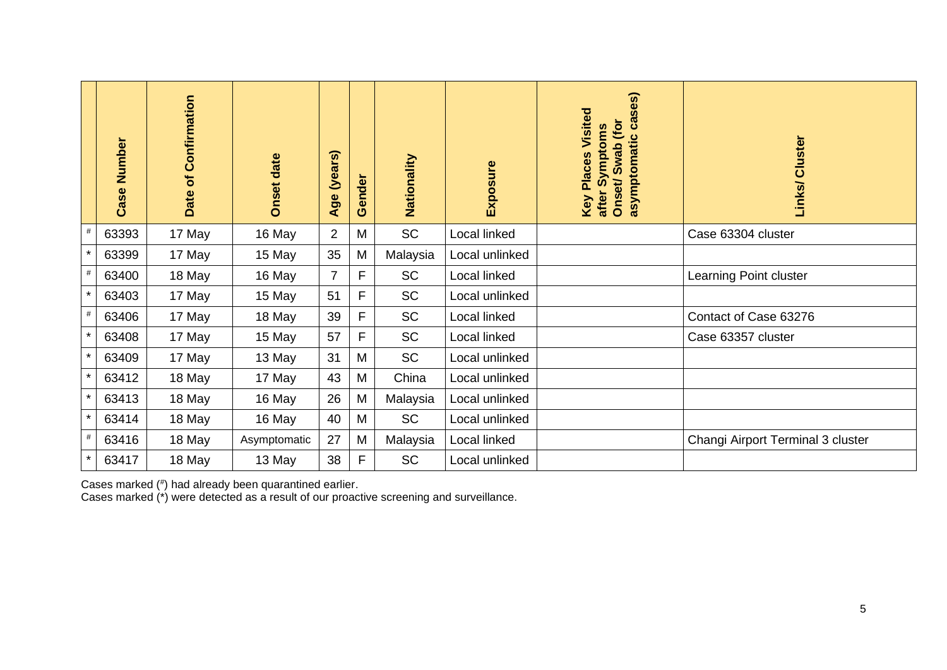|         | Number<br>Case | Confirmation<br>Date of | <b>Onset date</b> | $\omega$<br>ä<br><b>Sex</b><br>Age | ender<br>Õ | Nationality | Exposure       | cases)<br>Visited<br>Onset/Swab (for<br>after Symptoms<br>asymptomatic<br>Places<br>Key | Links/ Cluster                    |
|---------|----------------|-------------------------|-------------------|------------------------------------|------------|-------------|----------------|-----------------------------------------------------------------------------------------|-----------------------------------|
| $\#$    | 63393          | 17 May                  | 16 May            | $\overline{2}$                     | M          | <b>SC</b>   | Local linked   |                                                                                         | Case 63304 cluster                |
| $\star$ | 63399          | 17 May                  | 15 May            | 35                                 | M          | Malaysia    | Local unlinked |                                                                                         |                                   |
| $\#$    | 63400          | 18 May                  | 16 May            | $\overline{7}$                     | F          | <b>SC</b>   | Local linked   |                                                                                         | Learning Point cluster            |
| $\star$ | 63403          | 17 May                  | 15 May            | 51                                 | F          | <b>SC</b>   | Local unlinked |                                                                                         |                                   |
| $\#$    | 63406          | 17 May                  | 18 May            | 39                                 | F          | <b>SC</b>   | Local linked   |                                                                                         | Contact of Case 63276             |
| $\star$ | 63408          | 17 May                  | 15 May            | 57                                 | F          | <b>SC</b>   | Local linked   |                                                                                         | Case 63357 cluster                |
| $\star$ | 63409          | 17 May                  | 13 May            | 31                                 | M          | <b>SC</b>   | Local unlinked |                                                                                         |                                   |
| $\star$ | 63412          | 18 May                  | 17 May            | 43                                 | M          | China       | Local unlinked |                                                                                         |                                   |
| $\star$ | 63413          | 18 May                  | 16 May            | 26                                 | M          | Malaysia    | Local unlinked |                                                                                         |                                   |
| $\star$ | 63414          | 18 May                  | 16 May            | 40                                 | M          | <b>SC</b>   | Local unlinked |                                                                                         |                                   |
| $\#$    | 63416          | 18 May                  | Asymptomatic      | 27                                 | M          | Malaysia    | Local linked   |                                                                                         | Changi Airport Terminal 3 cluster |
| $\star$ | 63417          | 18 May                  | 13 May            | 38                                 | F          | <b>SC</b>   | Local unlinked |                                                                                         |                                   |

Cases marked (# ) had already been quarantined earlier.

Cases marked (\*) were detected as a result of our proactive screening and surveillance.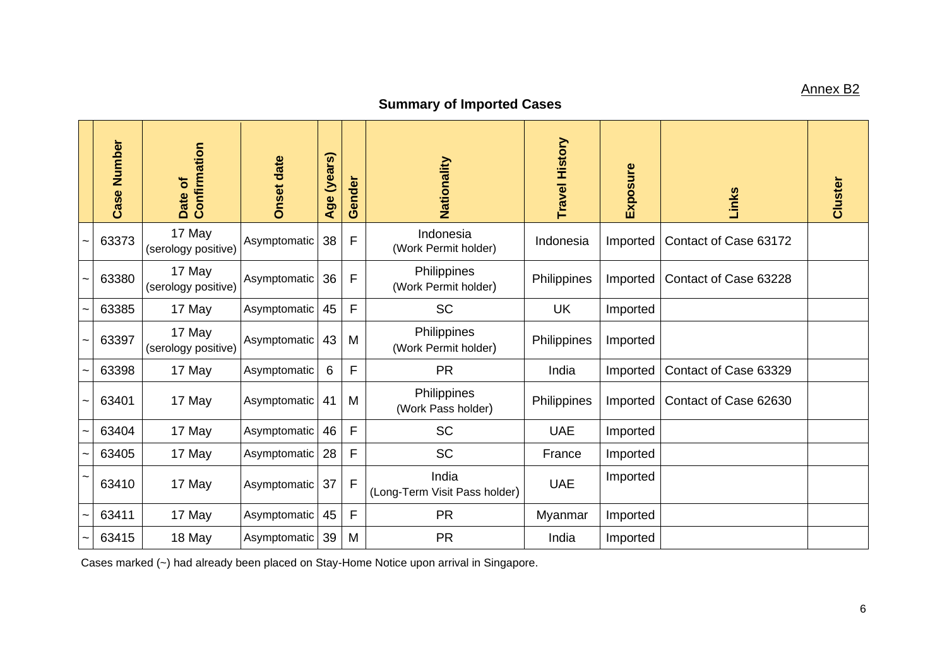## Annex B2

# **Summary of Imported Cases**

| Number<br><b>Case</b> | Confirmation<br>Date of       | <b>Onset date</b> | (years)<br>Age | Gender | Nationality                            | <b>Travel History</b> | Exposure | Links                 | Cluster |
|-----------------------|-------------------------------|-------------------|----------------|--------|----------------------------------------|-----------------------|----------|-----------------------|---------|
| 63373                 | 17 May<br>(serology positive) | Asymptomatic      | 38             | F      | Indonesia<br>(Work Permit holder)      | Indonesia             | Imported | Contact of Case 63172 |         |
| 63380                 | 17 May<br>(serology positive) | Asymptomatic      | 36             | F      | Philippines<br>(Work Permit holder)    | Philippines           | Imported | Contact of Case 63228 |         |
| 63385                 | 17 May                        | Asymptomatic      | 45             | F      | <b>SC</b>                              | <b>UK</b>             | Imported |                       |         |
| 63397                 | 17 May<br>(serology positive) | Asymptomatic      | 43             | M      | Philippines<br>(Work Permit holder)    | Philippines           | Imported |                       |         |
| 63398                 | 17 May                        | Asymptomatic      | 6              | F      | <b>PR</b>                              | India                 | Imported | Contact of Case 63329 |         |
| 63401                 | 17 May                        | Asymptomatic      | 41             | M      | Philippines<br>(Work Pass holder)      | Philippines           | Imported | Contact of Case 62630 |         |
| 63404                 | 17 May                        | Asymptomatic      | 46             | F      | <b>SC</b>                              | <b>UAE</b>            | Imported |                       |         |
| 63405                 | 17 May                        | Asymptomatic      | 28             | F      | <b>SC</b>                              | France                | Imported |                       |         |
| 63410                 | 17 May                        | Asymptomatic      | 37             | F      | India<br>(Long-Term Visit Pass holder) | <b>UAE</b>            | Imported |                       |         |
| 63411                 | 17 May                        | Asymptomatic      | 45             | F      | <b>PR</b>                              | Myanmar               | Imported |                       |         |
| 63415                 | 18 May                        | Asymptomatic      | 39             | M      | <b>PR</b>                              | India                 | Imported |                       |         |

Cases marked (~) had already been placed on Stay-Home Notice upon arrival in Singapore.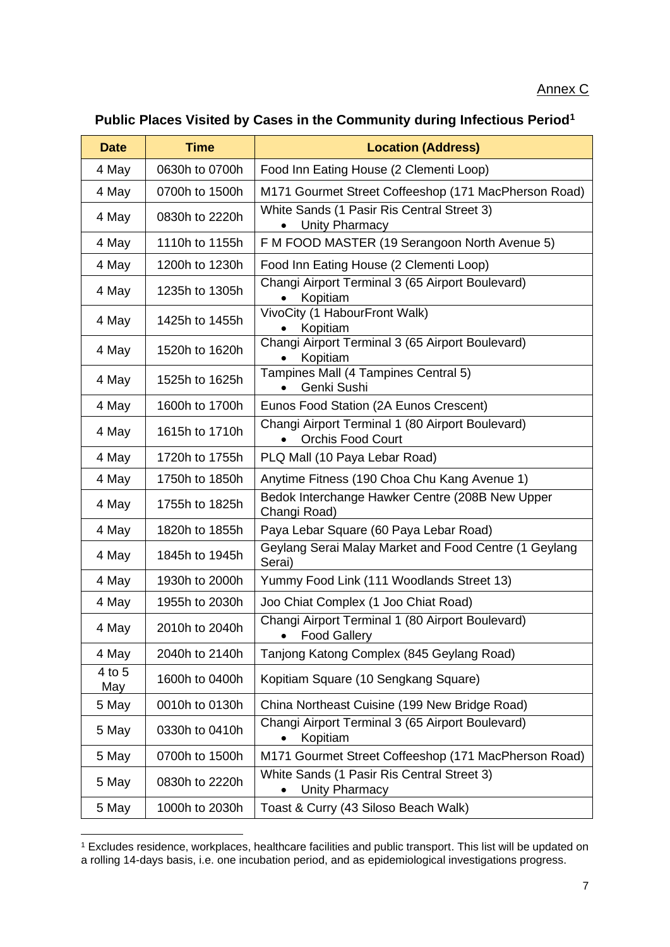|  | Public Places Visited by Cases in the Community during Infectious Period <sup>1</sup> |  |
|--|---------------------------------------------------------------------------------------|--|
|--|---------------------------------------------------------------------------------------|--|

| <b>Date</b>   | <b>Time</b>    | <b>Location (Address)</b>                                                                 |
|---------------|----------------|-------------------------------------------------------------------------------------------|
| 4 May         | 0630h to 0700h | Food Inn Eating House (2 Clementi Loop)                                                   |
| 4 May         | 0700h to 1500h | M171 Gourmet Street Coffeeshop (171 MacPherson Road)                                      |
| 4 May         | 0830h to 2220h | White Sands (1 Pasir Ris Central Street 3)<br>Unity Pharmacy                              |
| 4 May         | 1110h to 1155h | F M FOOD MASTER (19 Serangoon North Avenue 5)                                             |
| 4 May         | 1200h to 1230h | Food Inn Eating House (2 Clementi Loop)                                                   |
| 4 May         | 1235h to 1305h | Changi Airport Terminal 3 (65 Airport Boulevard)<br>Kopitiam                              |
| 4 May         | 1425h to 1455h | VivoCity (1 HabourFront Walk)<br>Kopitiam                                                 |
| 4 May         | 1520h to 1620h | Changi Airport Terminal 3 (65 Airport Boulevard)<br>Kopitiam                              |
| 4 May         | 1525h to 1625h | Tampines Mall (4 Tampines Central 5)<br>Genki Sushi                                       |
| 4 May         | 1600h to 1700h | Eunos Food Station (2A Eunos Crescent)                                                    |
| 4 May         | 1615h to 1710h | Changi Airport Terminal 1 (80 Airport Boulevard)<br><b>Orchis Food Court</b><br>$\bullet$ |
| 4 May         | 1720h to 1755h | PLQ Mall (10 Paya Lebar Road)                                                             |
| 4 May         | 1750h to 1850h | Anytime Fitness (190 Choa Chu Kang Avenue 1)                                              |
| 4 May         | 1755h to 1825h | Bedok Interchange Hawker Centre (208B New Upper<br>Changi Road)                           |
| 4 May         | 1820h to 1855h | Paya Lebar Square (60 Paya Lebar Road)                                                    |
| 4 May         | 1845h to 1945h | Geylang Serai Malay Market and Food Centre (1 Geylang<br>Serai)                           |
| 4 May         | 1930h to 2000h | Yummy Food Link (111 Woodlands Street 13)                                                 |
| 4 May         | 1955h to 2030h | Joo Chiat Complex (1 Joo Chiat Road)                                                      |
| 4 May         | 2010h to 2040h | Changi Airport Terminal 1 (80 Airport Boulevard)<br>• Food Gallery                        |
| 4 May         | 2040h to 2140h | Tanjong Katong Complex (845 Geylang Road)                                                 |
| 4 to 5<br>May | 1600h to 0400h | Kopitiam Square (10 Sengkang Square)                                                      |
| 5 May         | 0010h to 0130h | China Northeast Cuisine (199 New Bridge Road)                                             |
| 5 May         | 0330h to 0410h | Changi Airport Terminal 3 (65 Airport Boulevard)<br>Kopitiam<br>$\bullet$                 |
| 5 May         | 0700h to 1500h | M171 Gourmet Street Coffeeshop (171 MacPherson Road)                                      |
| 5 May         | 0830h to 2220h | White Sands (1 Pasir Ris Central Street 3)<br>Unity Pharmacy<br>$\bullet$                 |
| 5 May         | 1000h to 2030h | Toast & Curry (43 Siloso Beach Walk)                                                      |

<sup>1</sup> Excludes residence, workplaces, healthcare facilities and public transport. This list will be updated on a rolling 14-days basis, i.e. one incubation period, and as epidemiological investigations progress.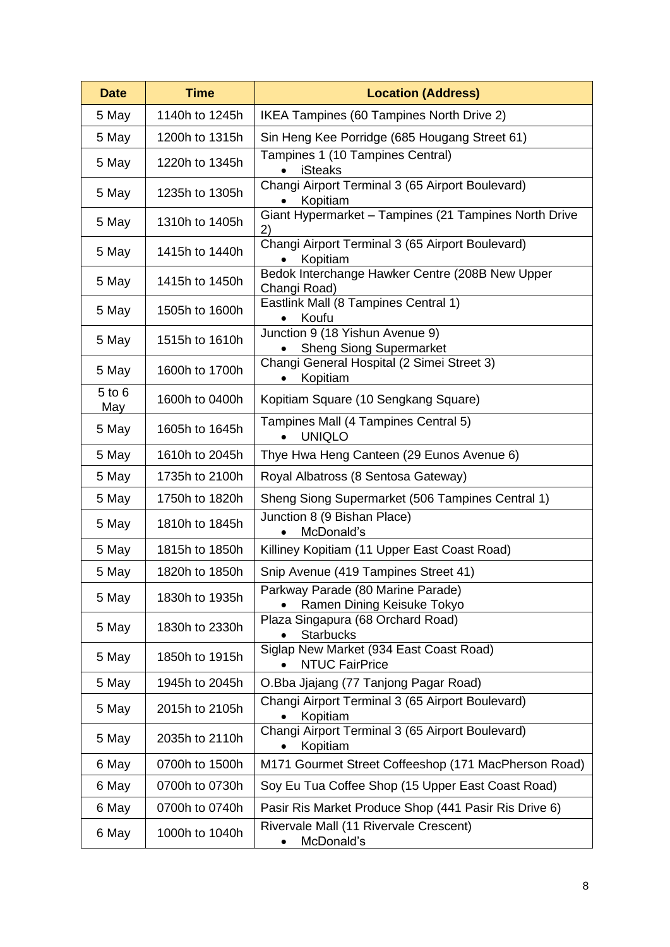| <b>Date</b>       | <b>Time</b>    | <b>Location (Address)</b>                                         |
|-------------------|----------------|-------------------------------------------------------------------|
| 5 May             | 1140h to 1245h | IKEA Tampines (60 Tampines North Drive 2)                         |
| 5 May             | 1200h to 1315h | Sin Heng Kee Porridge (685 Hougang Street 61)                     |
| 5 May             | 1220h to 1345h | Tampines 1 (10 Tampines Central)<br><b>iSteaks</b>                |
| 5 May             | 1235h to 1305h | Changi Airport Terminal 3 (65 Airport Boulevard)<br>Kopitiam      |
| 5 May             | 1310h to 1405h | Giant Hypermarket - Tampines (21 Tampines North Drive<br>2)       |
| 5 May             | 1415h to 1440h | Changi Airport Terminal 3 (65 Airport Boulevard)<br>Kopitiam      |
| 5 May             | 1415h to 1450h | Bedok Interchange Hawker Centre (208B New Upper<br>Changi Road)   |
| 5 May             | 1505h to 1600h | Eastlink Mall (8 Tampines Central 1)<br>Koufu                     |
| 5 May             | 1515h to 1610h | Junction 9 (18 Yishun Avenue 9)<br><b>Sheng Siong Supermarket</b> |
| 5 May             | 1600h to 1700h | Changi General Hospital (2 Simei Street 3)<br>Kopitiam            |
| $5$ to $6$<br>May | 1600h to 0400h | Kopitiam Square (10 Sengkang Square)                              |
| 5 May             | 1605h to 1645h | Tampines Mall (4 Tampines Central 5)<br><b>UNIQLO</b>             |
| 5 May             | 1610h to 2045h | Thye Hwa Heng Canteen (29 Eunos Avenue 6)                         |
| 5 May             | 1735h to 2100h | Royal Albatross (8 Sentosa Gateway)                               |
| 5 May             | 1750h to 1820h | Sheng Siong Supermarket (506 Tampines Central 1)                  |
| 5 May             | 1810h to 1845h | Junction 8 (9 Bishan Place)<br>McDonald's                         |
| 5 May             | 1815h to 1850h | Killiney Kopitiam (11 Upper East Coast Road)                      |
| 5 May             | 1820h to 1850h | Snip Avenue (419 Tampines Street 41)                              |
| 5 May             | 1830h to 1935h | Parkway Parade (80 Marine Parade)<br>Ramen Dining Keisuke Tokyo   |
| 5 May             | 1830h to 2330h | Plaza Singapura (68 Orchard Road)<br><b>Starbucks</b>             |
| 5 May             | 1850h to 1915h | Siglap New Market (934 East Coast Road)<br><b>NTUC FairPrice</b>  |
| 5 May             | 1945h to 2045h | O.Bba Jjajang (77 Tanjong Pagar Road)                             |
| 5 May             | 2015h to 2105h | Changi Airport Terminal 3 (65 Airport Boulevard)<br>Kopitiam      |
| 5 May             | 2035h to 2110h | Changi Airport Terminal 3 (65 Airport Boulevard)<br>Kopitiam      |
| 6 May             | 0700h to 1500h | M171 Gourmet Street Coffeeshop (171 MacPherson Road)              |
| 6 May             | 0700h to 0730h | Soy Eu Tua Coffee Shop (15 Upper East Coast Road)                 |
| 6 May             | 0700h to 0740h | Pasir Ris Market Produce Shop (441 Pasir Ris Drive 6)             |
| 6 May             | 1000h to 1040h | Rivervale Mall (11 Rivervale Crescent)<br>McDonald's              |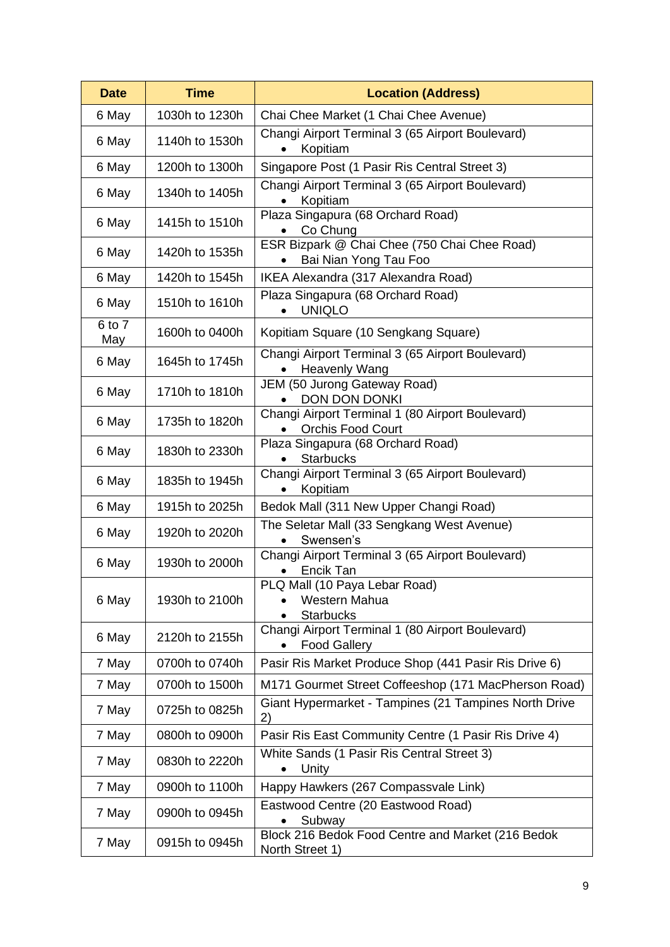| <b>Date</b>   | <b>Time</b>    | <b>Location (Address)</b>                                                    |
|---------------|----------------|------------------------------------------------------------------------------|
| 6 May         | 1030h to 1230h | Chai Chee Market (1 Chai Chee Avenue)                                        |
| 6 May         | 1140h to 1530h | Changi Airport Terminal 3 (65 Airport Boulevard)<br>Kopitiam                 |
| 6 May         | 1200h to 1300h | Singapore Post (1 Pasir Ris Central Street 3)                                |
| 6 May         | 1340h to 1405h | Changi Airport Terminal 3 (65 Airport Boulevard)<br>Kopitiam                 |
| 6 May         | 1415h to 1510h | Plaza Singapura (68 Orchard Road)<br>Co Chung                                |
| 6 May         | 1420h to 1535h | ESR Bizpark @ Chai Chee (750 Chai Chee Road)<br>Bai Nian Yong Tau Foo        |
| 6 May         | 1420h to 1545h | IKEA Alexandra (317 Alexandra Road)                                          |
| 6 May         | 1510h to 1610h | Plaza Singapura (68 Orchard Road)<br><b>UNIQLO</b>                           |
| 6 to 7<br>May | 1600h to 0400h | Kopitiam Square (10 Sengkang Square)                                         |
| 6 May         | 1645h to 1745h | Changi Airport Terminal 3 (65 Airport Boulevard)<br><b>Heavenly Wang</b>     |
| 6 May         | 1710h to 1810h | JEM (50 Jurong Gateway Road)<br><b>DON DON DONKI</b>                         |
| 6 May         | 1735h to 1820h | Changi Airport Terminal 1 (80 Airport Boulevard)<br><b>Orchis Food Court</b> |
| 6 May         | 1830h to 2330h | Plaza Singapura (68 Orchard Road)<br><b>Starbucks</b>                        |
| 6 May         | 1835h to 1945h | Changi Airport Terminal 3 (65 Airport Boulevard)<br>Kopitiam<br>$\bullet$    |
| 6 May         | 1915h to 2025h | Bedok Mall (311 New Upper Changi Road)                                       |
| 6 May         | 1920h to 2020h | The Seletar Mall (33 Sengkang West Avenue)<br>Swensen's                      |
| 6 May         | 1930h to 2000h | Changi Airport Terminal 3 (65 Airport Boulevard)<br>Encik Tan                |
| 6 May         | 1930h to 2100h | PLQ Mall (10 Paya Lebar Road)<br>Western Mahua<br><b>Starbucks</b>           |
| 6 May         | 2120h to 2155h | Changi Airport Terminal 1 (80 Airport Boulevard)<br><b>Food Gallery</b>      |
| 7 May         | 0700h to 0740h | Pasir Ris Market Produce Shop (441 Pasir Ris Drive 6)                        |
| 7 May         | 0700h to 1500h | M171 Gourmet Street Coffeeshop (171 MacPherson Road)                         |
| 7 May         | 0725h to 0825h | Giant Hypermarket - Tampines (21 Tampines North Drive<br>2)                  |
| 7 May         | 0800h to 0900h | Pasir Ris East Community Centre (1 Pasir Ris Drive 4)                        |
| 7 May         | 0830h to 2220h | White Sands (1 Pasir Ris Central Street 3)<br>Unity                          |
| 7 May         | 0900h to 1100h | Happy Hawkers (267 Compassvale Link)                                         |
| 7 May         | 0900h to 0945h | Eastwood Centre (20 Eastwood Road)<br>Subway                                 |
| 7 May         | 0915h to 0945h | Block 216 Bedok Food Centre and Market (216 Bedok<br>North Street 1)         |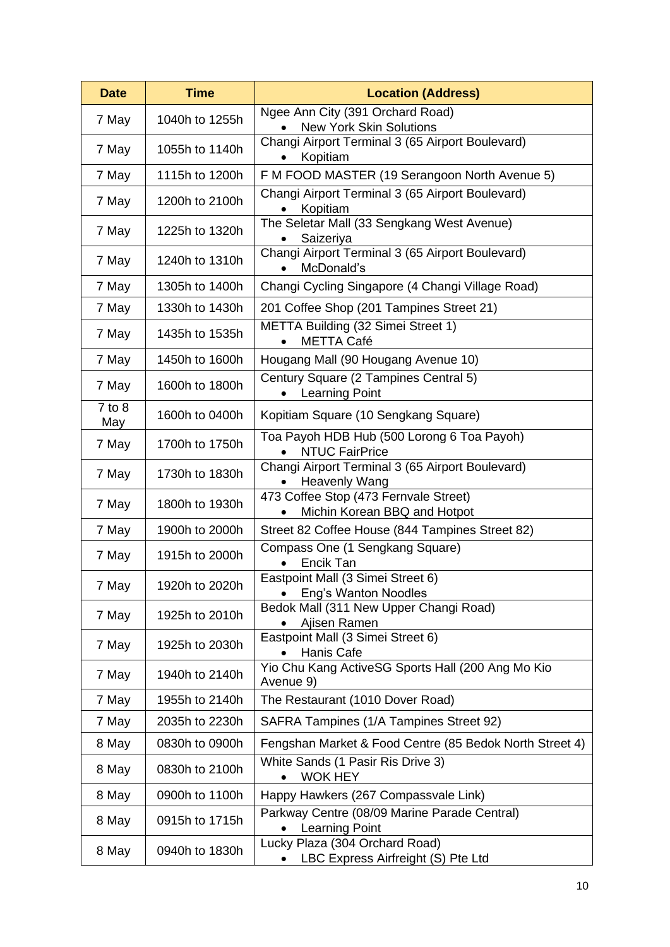| <b>Date</b>       | <b>Time</b>    | <b>Location (Address)</b>                                                |
|-------------------|----------------|--------------------------------------------------------------------------|
| 7 May             | 1040h to 1255h | Ngee Ann City (391 Orchard Road)<br><b>New York Skin Solutions</b>       |
| 7 May             | 1055h to 1140h | Changi Airport Terminal 3 (65 Airport Boulevard)<br>Kopitiam             |
| 7 May             | 1115h to 1200h | F M FOOD MASTER (19 Serangoon North Avenue 5)                            |
| 7 May             | 1200h to 2100h | Changi Airport Terminal 3 (65 Airport Boulevard)<br>Kopitiam             |
| 7 May             | 1225h to 1320h | The Seletar Mall (33 Sengkang West Avenue)<br>Saizeriya                  |
| 7 May             | 1240h to 1310h | Changi Airport Terminal 3 (65 Airport Boulevard)<br>McDonald's           |
| 7 May             | 1305h to 1400h | Changi Cycling Singapore (4 Changi Village Road)                         |
| 7 May             | 1330h to 1430h | 201 Coffee Shop (201 Tampines Street 21)                                 |
| 7 May             | 1435h to 1535h | METTA Building (32 Simei Street 1)<br><b>METTA Café</b>                  |
| 7 May             | 1450h to 1600h | Hougang Mall (90 Hougang Avenue 10)                                      |
| 7 May             | 1600h to 1800h | Century Square (2 Tampines Central 5)<br>Learning Point                  |
| $7$ to $8$<br>May | 1600h to 0400h | Kopitiam Square (10 Sengkang Square)                                     |
| 7 May             | 1700h to 1750h | Toa Payoh HDB Hub (500 Lorong 6 Toa Payoh)<br><b>NTUC FairPrice</b>      |
| 7 May             | 1730h to 1830h | Changi Airport Terminal 3 (65 Airport Boulevard)<br><b>Heavenly Wang</b> |
| 7 May             | 1800h to 1930h | 473 Coffee Stop (473 Fernvale Street)<br>Michin Korean BBQ and Hotpot    |
| 7 May             | 1900h to 2000h | Street 82 Coffee House (844 Tampines Street 82)                          |
| 7 May             | 1915h to 2000h | Compass One (1 Sengkang Square)<br>Encik Tan                             |
| 7 May             | 1920h to 2020h | Eastpoint Mall (3 Simei Street 6)<br>Eng's Wanton Noodles                |
| 7 May             | 1925h to 2010h | Bedok Mall (311 New Upper Changi Road)<br>Ajisen Ramen                   |
| 7 May             | 1925h to 2030h | Eastpoint Mall (3 Simei Street 6)<br>Hanis Cafe                          |
| 7 May             | 1940h to 2140h | Yio Chu Kang ActiveSG Sports Hall (200 Ang Mo Kio<br>Avenue 9)           |
| 7 May             | 1955h to 2140h | The Restaurant (1010 Dover Road)                                         |
| 7 May             | 2035h to 2230h | SAFRA Tampines (1/A Tampines Street 92)                                  |
| 8 May             | 0830h to 0900h | Fengshan Market & Food Centre (85 Bedok North Street 4)                  |
| 8 May             | 0830h to 2100h | White Sands (1 Pasir Ris Drive 3)<br><b>WOK HEY</b>                      |
| 8 May             | 0900h to 1100h | Happy Hawkers (267 Compassvale Link)                                     |
| 8 May             | 0915h to 1715h | Parkway Centre (08/09 Marine Parade Central)<br><b>Learning Point</b>    |
| 8 May             | 0940h to 1830h | Lucky Plaza (304 Orchard Road)<br>LBC Express Airfreight (S) Pte Ltd     |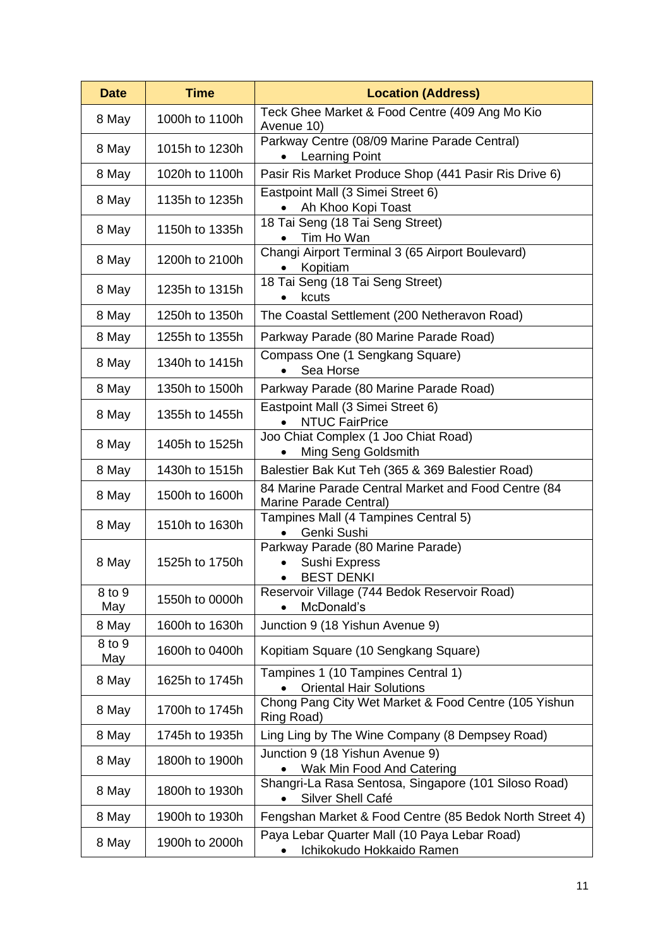| <b>Date</b>   | <b>Time</b>    | <b>Location (Address)</b>                                                            |
|---------------|----------------|--------------------------------------------------------------------------------------|
| 8 May         | 1000h to 1100h | Teck Ghee Market & Food Centre (409 Ang Mo Kio<br>Avenue 10)                         |
| 8 May         | 1015h to 1230h | Parkway Centre (08/09 Marine Parade Central)<br><b>Learning Point</b>                |
| 8 May         | 1020h to 1100h | Pasir Ris Market Produce Shop (441 Pasir Ris Drive 6)                                |
| 8 May         | 1135h to 1235h | Eastpoint Mall (3 Simei Street 6)<br>Ah Khoo Kopi Toast                              |
| 8 May         | 1150h to 1335h | 18 Tai Seng (18 Tai Seng Street)<br>Tim Ho Wan                                       |
| 8 May         | 1200h to 2100h | Changi Airport Terminal 3 (65 Airport Boulevard)<br>Kopitiam                         |
| 8 May         | 1235h to 1315h | 18 Tai Seng (18 Tai Seng Street)<br>kcuts                                            |
| 8 May         | 1250h to 1350h | The Coastal Settlement (200 Netheravon Road)                                         |
| 8 May         | 1255h to 1355h | Parkway Parade (80 Marine Parade Road)                                               |
| 8 May         | 1340h to 1415h | Compass One (1 Sengkang Square)<br>Sea Horse                                         |
| 8 May         | 1350h to 1500h | Parkway Parade (80 Marine Parade Road)                                               |
| 8 May         | 1355h to 1455h | Eastpoint Mall (3 Simei Street 6)<br><b>NTUC FairPrice</b>                           |
| 8 May         | 1405h to 1525h | Joo Chiat Complex (1 Joo Chiat Road)<br>Ming Seng Goldsmith                          |
| 8 May         | 1430h to 1515h | Balestier Bak Kut Teh (365 & 369 Balestier Road)                                     |
| 8 May         | 1500h to 1600h | 84 Marine Parade Central Market and Food Centre (84<br>Marine Parade Central)        |
| 8 May         | 1510h to 1630h | Tampines Mall (4 Tampines Central 5)<br>Genki Sushi                                  |
| 8 May         | 1525h to 1750h | Parkway Parade (80 Marine Parade)<br>Sushi Express<br><b>BEST DENKI</b><br>$\bullet$ |
| 8 to 9<br>May | 1550h to 0000h | Reservoir Village (744 Bedok Reservoir Road)<br>McDonald's                           |
| 8 May         | 1600h to 1630h | Junction 9 (18 Yishun Avenue 9)                                                      |
| 8 to 9<br>May | 1600h to 0400h | Kopitiam Square (10 Sengkang Square)                                                 |
| 8 May         | 1625h to 1745h | Tampines 1 (10 Tampines Central 1)<br><b>Oriental Hair Solutions</b>                 |
| 8 May         | 1700h to 1745h | Chong Pang City Wet Market & Food Centre (105 Yishun<br>Ring Road)                   |
| 8 May         | 1745h to 1935h | Ling Ling by The Wine Company (8 Dempsey Road)                                       |
| 8 May         | 1800h to 1900h | Junction 9 (18 Yishun Avenue 9)<br>Wak Min Food And Catering                         |
| 8 May         | 1800h to 1930h | Shangri-La Rasa Sentosa, Singapore (101 Siloso Road)<br>Silver Shell Café            |
| 8 May         | 1900h to 1930h | Fengshan Market & Food Centre (85 Bedok North Street 4)                              |
| 8 May         | 1900h to 2000h | Paya Lebar Quarter Mall (10 Paya Lebar Road)<br>Ichikokudo Hokkaido Ramen            |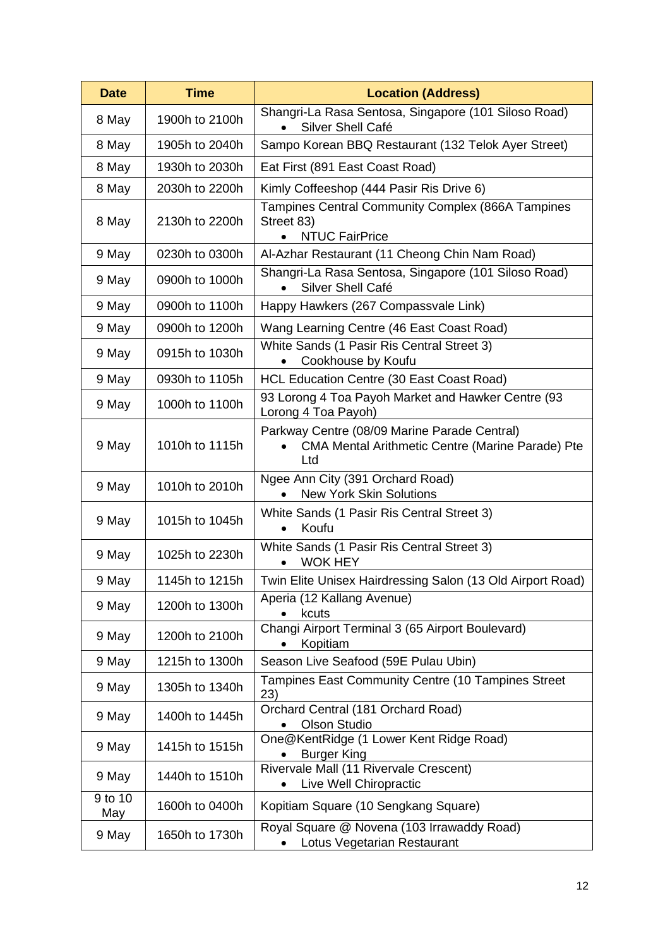| <b>Date</b>    | <b>Time</b>    | <b>Location (Address)</b>                                                                               |
|----------------|----------------|---------------------------------------------------------------------------------------------------------|
| 8 May          | 1900h to 2100h | Shangri-La Rasa Sentosa, Singapore (101 Siloso Road)<br>Silver Shell Café                               |
| 8 May          | 1905h to 2040h | Sampo Korean BBQ Restaurant (132 Telok Ayer Street)                                                     |
| 8 May          | 1930h to 2030h | Eat First (891 East Coast Road)                                                                         |
| 8 May          | 2030h to 2200h | Kimly Coffeeshop (444 Pasir Ris Drive 6)                                                                |
| 8 May          | 2130h to 2200h | Tampines Central Community Complex (866A Tampines<br>Street 83)<br><b>NTUC FairPrice</b>                |
| 9 May          | 0230h to 0300h | Al-Azhar Restaurant (11 Cheong Chin Nam Road)                                                           |
| 9 May          | 0900h to 1000h | Shangri-La Rasa Sentosa, Singapore (101 Siloso Road)<br>Silver Shell Café<br>$\bullet$                  |
| 9 May          | 0900h to 1100h | Happy Hawkers (267 Compassvale Link)                                                                    |
| 9 May          | 0900h to 1200h | Wang Learning Centre (46 East Coast Road)                                                               |
| 9 May          | 0915h to 1030h | White Sands (1 Pasir Ris Central Street 3)<br>Cookhouse by Koufu<br>$\bullet$                           |
| 9 May          | 0930h to 1105h | HCL Education Centre (30 East Coast Road)                                                               |
| 9 May          | 1000h to 1100h | 93 Lorong 4 Toa Payoh Market and Hawker Centre (93<br>Lorong 4 Toa Payoh)                               |
| 9 May          | 1010h to 1115h | Parkway Centre (08/09 Marine Parade Central)<br>CMA Mental Arithmetic Centre (Marine Parade) Pte<br>Ltd |
| 9 May          | 1010h to 2010h | Ngee Ann City (391 Orchard Road)<br><b>New York Skin Solutions</b>                                      |
| 9 May          | 1015h to 1045h | White Sands (1 Pasir Ris Central Street 3)<br>Koufu<br>$\bullet$                                        |
| 9 May          | 1025h to 2230h | White Sands (1 Pasir Ris Central Street 3)<br><b>WOK HEY</b><br>$\bullet$                               |
| 9 May          | 1145h to 1215h | Twin Elite Unisex Hairdressing Salon (13 Old Airport Road)                                              |
| 9 May          | 1200h to 1300h | Aperia (12 Kallang Avenue)<br>kcuts                                                                     |
| 9 May          | 1200h to 2100h | Changi Airport Terminal 3 (65 Airport Boulevard)<br>Kopitiam<br>$\bullet$                               |
| 9 May          | 1215h to 1300h | Season Live Seafood (59E Pulau Ubin)                                                                    |
| 9 May          | 1305h to 1340h | Tampines East Community Centre (10 Tampines Street<br>23)                                               |
| 9 May          | 1400h to 1445h | Orchard Central (181 Orchard Road)<br><b>Olson Studio</b>                                               |
| 9 May          | 1415h to 1515h | One@KentRidge (1 Lower Kent Ridge Road)<br><b>Burger King</b>                                           |
| 9 May          | 1440h to 1510h | Rivervale Mall (11 Rivervale Crescent)<br>Live Well Chiropractic                                        |
| 9 to 10<br>May | 1600h to 0400h | Kopitiam Square (10 Sengkang Square)                                                                    |
| 9 May          | 1650h to 1730h | Royal Square @ Novena (103 Irrawaddy Road)<br>Lotus Vegetarian Restaurant                               |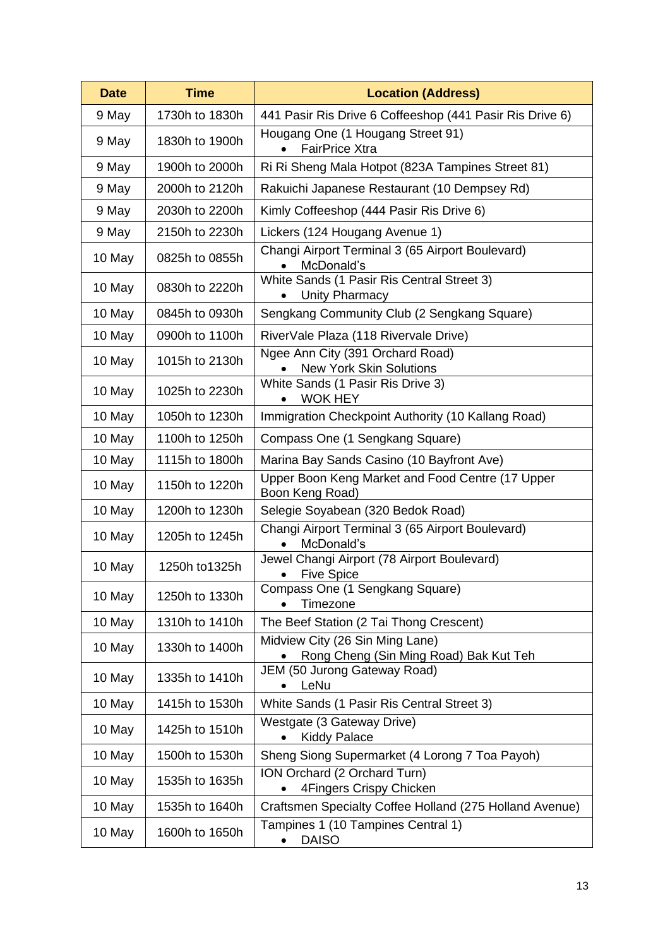| <b>Date</b> | <b>Time</b>    | <b>Location (Address)</b>                                                 |
|-------------|----------------|---------------------------------------------------------------------------|
| 9 May       | 1730h to 1830h | 441 Pasir Ris Drive 6 Coffeeshop (441 Pasir Ris Drive 6)                  |
| 9 May       | 1830h to 1900h | Hougang One (1 Hougang Street 91)<br><b>FairPrice Xtra</b>                |
| 9 May       | 1900h to 2000h | Ri Ri Sheng Mala Hotpot (823A Tampines Street 81)                         |
| 9 May       | 2000h to 2120h | Rakuichi Japanese Restaurant (10 Dempsey Rd)                              |
| 9 May       | 2030h to 2200h | Kimly Coffeeshop (444 Pasir Ris Drive 6)                                  |
| 9 May       | 2150h to 2230h | Lickers (124 Hougang Avenue 1)                                            |
| 10 May      | 0825h to 0855h | Changi Airport Terminal 3 (65 Airport Boulevard)<br>McDonald's            |
| 10 May      | 0830h to 2220h | White Sands (1 Pasir Ris Central Street 3)<br><b>Unity Pharmacy</b>       |
| 10 May      | 0845h to 0930h | Sengkang Community Club (2 Sengkang Square)                               |
| 10 May      | 0900h to 1100h | RiverVale Plaza (118 Rivervale Drive)                                     |
| 10 May      | 1015h to 2130h | Ngee Ann City (391 Orchard Road)<br><b>New York Skin Solutions</b>        |
| 10 May      | 1025h to 2230h | White Sands (1 Pasir Ris Drive 3)<br><b>WOK HEY</b>                       |
| 10 May      | 1050h to 1230h | Immigration Checkpoint Authority (10 Kallang Road)                        |
| 10 May      | 1100h to 1250h | Compass One (1 Sengkang Square)                                           |
| 10 May      | 1115h to 1800h | Marina Bay Sands Casino (10 Bayfront Ave)                                 |
| 10 May      | 1150h to 1220h | Upper Boon Keng Market and Food Centre (17 Upper<br>Boon Keng Road)       |
| 10 May      | 1200h to 1230h | Selegie Soyabean (320 Bedok Road)                                         |
| 10 May      | 1205h to 1245h | Changi Airport Terminal 3 (65 Airport Boulevard)<br>McDonald's            |
| 10 May      | 1250h to 1325h | Jewel Changi Airport (78 Airport Boulevard)<br><b>Five Spice</b>          |
| 10 May      | 1250h to 1330h | Compass One (1 Sengkang Square)<br>Timezone                               |
| 10 May      | 1310h to 1410h | The Beef Station (2 Tai Thong Crescent)                                   |
| 10 May      | 1330h to 1400h | Midview City (26 Sin Ming Lane)<br>Rong Cheng (Sin Ming Road) Bak Kut Teh |
| 10 May      | 1335h to 1410h | JEM (50 Jurong Gateway Road)<br>LeNu                                      |
| 10 May      | 1415h to 1530h | White Sands (1 Pasir Ris Central Street 3)                                |
| 10 May      | 1425h to 1510h | Westgate (3 Gateway Drive)<br><b>Kiddy Palace</b><br>$\bullet$            |
| 10 May      | 1500h to 1530h | Sheng Siong Supermarket (4 Lorong 7 Toa Payoh)                            |
| 10 May      | 1535h to 1635h | ION Orchard (2 Orchard Turn)<br>4Fingers Crispy Chicken                   |
| 10 May      | 1535h to 1640h | Craftsmen Specialty Coffee Holland (275 Holland Avenue)                   |
| 10 May      | 1600h to 1650h | Tampines 1 (10 Tampines Central 1)<br><b>DAISO</b>                        |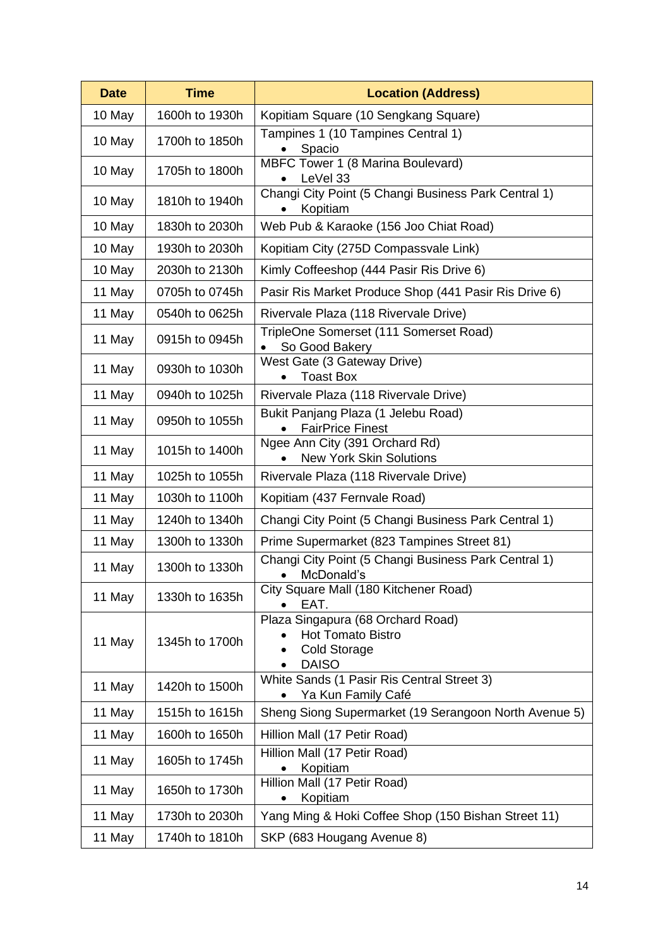| <b>Date</b> | <b>Time</b>    | <b>Location (Address)</b>                                                                     |
|-------------|----------------|-----------------------------------------------------------------------------------------------|
| 10 May      | 1600h to 1930h | Kopitiam Square (10 Sengkang Square)                                                          |
| 10 May      | 1700h to 1850h | Tampines 1 (10 Tampines Central 1)<br>Spacio                                                  |
| 10 May      | 1705h to 1800h | MBFC Tower 1 (8 Marina Boulevard)<br>LeVel 33                                                 |
| 10 May      | 1810h to 1940h | Changi City Point (5 Changi Business Park Central 1)<br>Kopitiam                              |
| 10 May      | 1830h to 2030h | Web Pub & Karaoke (156 Joo Chiat Road)                                                        |
| 10 May      | 1930h to 2030h | Kopitiam City (275D Compassvale Link)                                                         |
| 10 May      | 2030h to 2130h | Kimly Coffeeshop (444 Pasir Ris Drive 6)                                                      |
| 11 May      | 0705h to 0745h | Pasir Ris Market Produce Shop (441 Pasir Ris Drive 6)                                         |
| 11 May      | 0540h to 0625h | Rivervale Plaza (118 Rivervale Drive)                                                         |
| 11 May      | 0915h to 0945h | TripleOne Somerset (111 Somerset Road)<br>So Good Bakery                                      |
| 11 May      | 0930h to 1030h | West Gate (3 Gateway Drive)<br><b>Toast Box</b>                                               |
| 11 May      | 0940h to 1025h | Rivervale Plaza (118 Rivervale Drive)                                                         |
| 11 May      | 0950h to 1055h | Bukit Panjang Plaza (1 Jelebu Road)<br><b>FairPrice Finest</b>                                |
| 11 May      | 1015h to 1400h | Ngee Ann City (391 Orchard Rd)<br><b>New York Skin Solutions</b>                              |
| 11 May      | 1025h to 1055h | Rivervale Plaza (118 Rivervale Drive)                                                         |
| 11 May      | 1030h to 1100h | Kopitiam (437 Fernvale Road)                                                                  |
| 11 May      | 1240h to 1340h | Changi City Point (5 Changi Business Park Central 1)                                          |
| 11 May      | 1300h to 1330h | Prime Supermarket (823 Tampines Street 81)                                                    |
| 11 May      | 1300h to 1330h | Changi City Point (5 Changi Business Park Central 1)<br>McDonald's<br>$\bullet$               |
| 11 May      | 1330h to 1635h | City Square Mall (180 Kitchener Road)<br>EAT.                                                 |
| 11 May      | 1345h to 1700h | Plaza Singapura (68 Orchard Road)<br>Hot Tomato Bistro<br><b>Cold Storage</b><br><b>DAISO</b> |
| 11 May      | 1420h to 1500h | White Sands (1 Pasir Ris Central Street 3)<br>Ya Kun Family Café                              |
| 11 May      | 1515h to 1615h | Sheng Siong Supermarket (19 Serangoon North Avenue 5)                                         |
| 11 May      | 1600h to 1650h | Hillion Mall (17 Petir Road)                                                                  |
| 11 May      | 1605h to 1745h | Hillion Mall (17 Petir Road)<br>Kopitiam                                                      |
| 11 May      | 1650h to 1730h | Hillion Mall (17 Petir Road)<br>Kopitiam                                                      |
| 11 May      | 1730h to 2030h | Yang Ming & Hoki Coffee Shop (150 Bishan Street 11)                                           |
| 11 May      | 1740h to 1810h | SKP (683 Hougang Avenue 8)                                                                    |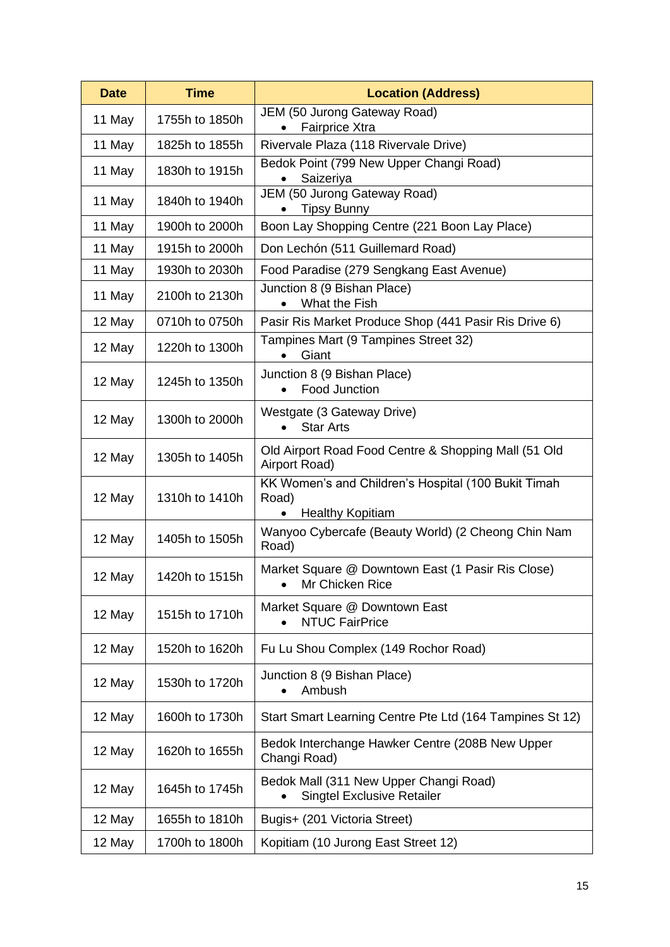| <b>Date</b> | <b>Time</b>    | <b>Location (Address)</b>                                                               |
|-------------|----------------|-----------------------------------------------------------------------------------------|
| 11 May      | 1755h to 1850h | JEM (50 Jurong Gateway Road)<br><b>Fairprice Xtra</b>                                   |
| 11 May      | 1825h to 1855h | Rivervale Plaza (118 Rivervale Drive)                                                   |
| 11 May      | 1830h to 1915h | Bedok Point (799 New Upper Changi Road)<br>Saizeriya                                    |
| 11 May      | 1840h to 1940h | JEM (50 Jurong Gateway Road)<br><b>Tipsy Bunny</b>                                      |
| 11 May      | 1900h to 2000h | Boon Lay Shopping Centre (221 Boon Lay Place)                                           |
| 11 May      | 1915h to 2000h | Don Lechón (511 Guillemard Road)                                                        |
| 11 May      | 1930h to 2030h | Food Paradise (279 Sengkang East Avenue)                                                |
| 11 May      | 2100h to 2130h | Junction 8 (9 Bishan Place)<br>What the Fish                                            |
| 12 May      | 0710h to 0750h | Pasir Ris Market Produce Shop (441 Pasir Ris Drive 6)                                   |
| 12 May      | 1220h to 1300h | Tampines Mart (9 Tampines Street 32)<br>Giant                                           |
| 12 May      | 1245h to 1350h | Junction 8 (9 Bishan Place)<br>Food Junction                                            |
| 12 May      | 1300h to 2000h | Westgate (3 Gateway Drive)<br><b>Star Arts</b><br>$\bullet$                             |
| 12 May      | 1305h to 1405h | Old Airport Road Food Centre & Shopping Mall (51 Old<br>Airport Road)                   |
| 12 May      | 1310h to 1410h | KK Women's and Children's Hospital (100 Bukit Timah<br>Road)<br><b>Healthy Kopitiam</b> |
| 12 May      | 1405h to 1505h | Wanyoo Cybercafe (Beauty World) (2 Cheong Chin Nam<br>Road)                             |
| 12 May      | 1420h to 1515h | Market Square @ Downtown East (1 Pasir Ris Close)<br>Mr Chicken Rice                    |
| 12 May      | 1515h to 1710h | Market Square @ Downtown East<br><b>NTUC FairPrice</b>                                  |
| 12 May      | 1520h to 1620h | Fu Lu Shou Complex (149 Rochor Road)                                                    |
| 12 May      | 1530h to 1720h | Junction 8 (9 Bishan Place)<br>Ambush                                                   |
| 12 May      | 1600h to 1730h | Start Smart Learning Centre Pte Ltd (164 Tampines St 12)                                |
| 12 May      | 1620h to 1655h | Bedok Interchange Hawker Centre (208B New Upper<br>Changi Road)                         |
| 12 May      | 1645h to 1745h | Bedok Mall (311 New Upper Changi Road)<br><b>Singtel Exclusive Retailer</b>             |
| 12 May      | 1655h to 1810h | Bugis+ (201 Victoria Street)                                                            |
| 12 May      | 1700h to 1800h | Kopitiam (10 Jurong East Street 12)                                                     |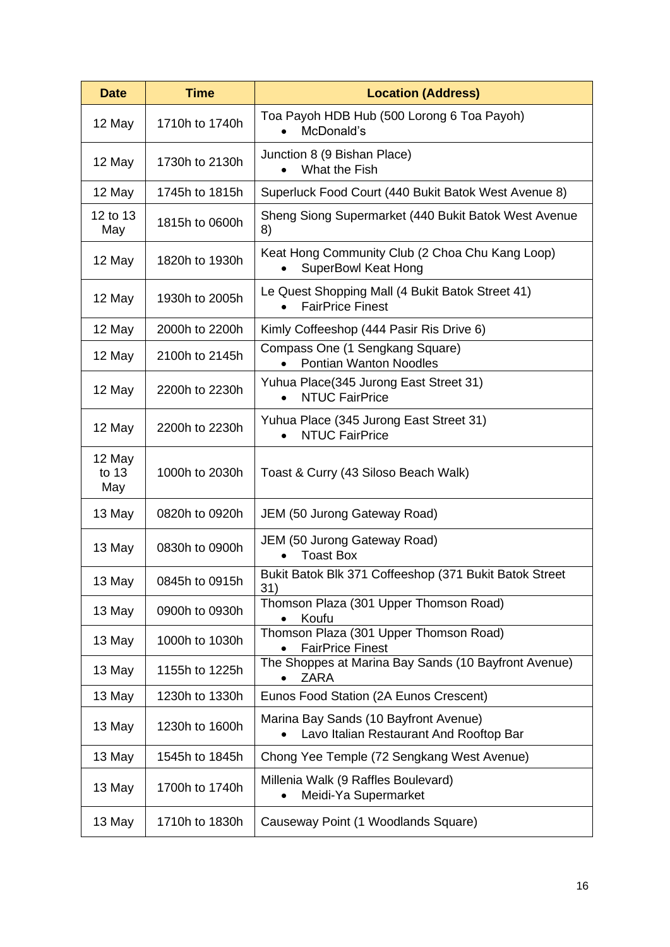| <b>Date</b>            | <b>Time</b>    | <b>Location (Address)</b>                                                        |
|------------------------|----------------|----------------------------------------------------------------------------------|
| 12 May                 | 1710h to 1740h | Toa Payoh HDB Hub (500 Lorong 6 Toa Payoh)<br>McDonald's                         |
| 12 May                 | 1730h to 2130h | Junction 8 (9 Bishan Place)<br>What the Fish                                     |
| 12 May                 | 1745h to 1815h | Superluck Food Court (440 Bukit Batok West Avenue 8)                             |
| 12 to 13<br>May        | 1815h to 0600h | Sheng Siong Supermarket (440 Bukit Batok West Avenue<br>8)                       |
| 12 May                 | 1820h to 1930h | Keat Hong Community Club (2 Choa Chu Kang Loop)<br><b>SuperBowl Keat Hong</b>    |
| 12 May                 | 1930h to 2005h | Le Quest Shopping Mall (4 Bukit Batok Street 41)<br><b>FairPrice Finest</b>      |
| 12 May                 | 2000h to 2200h | Kimly Coffeeshop (444 Pasir Ris Drive 6)                                         |
| 12 May                 | 2100h to 2145h | Compass One (1 Sengkang Square)<br><b>Pontian Wanton Noodles</b>                 |
| 12 May                 | 2200h to 2230h | Yuhua Place (345 Jurong East Street 31)<br><b>NTUC FairPrice</b>                 |
| 12 May                 | 2200h to 2230h | Yuhua Place (345 Jurong East Street 31)<br><b>NTUC FairPrice</b>                 |
| 12 May<br>to 13<br>May | 1000h to 2030h | Toast & Curry (43 Siloso Beach Walk)                                             |
| 13 May                 | 0820h to 0920h | JEM (50 Jurong Gateway Road)                                                     |
| 13 May                 | 0830h to 0900h | JEM (50 Jurong Gateway Road)<br><b>Toast Box</b>                                 |
| 13 May                 | 0845h to 0915h | Bukit Batok Blk 371 Coffeeshop (371 Bukit Batok Street<br>31)                    |
| 13 May                 | 0900h to 0930h | Thomson Plaza (301 Upper Thomson Road)<br>Koufu                                  |
| 13 May                 | 1000h to 1030h | Thomson Plaza (301 Upper Thomson Road)<br><b>FairPrice Finest</b>                |
| 13 May                 | 1155h to 1225h | The Shoppes at Marina Bay Sands (10 Bayfront Avenue)<br><b>ZARA</b>              |
| 13 May                 | 1230h to 1330h | Eunos Food Station (2A Eunos Crescent)                                           |
| 13 May                 | 1230h to 1600h | Marina Bay Sands (10 Bayfront Avenue)<br>Lavo Italian Restaurant And Rooftop Bar |
| 13 May                 | 1545h to 1845h | Chong Yee Temple (72 Sengkang West Avenue)                                       |
| 13 May                 | 1700h to 1740h | Millenia Walk (9 Raffles Boulevard)<br>Meidi-Ya Supermarket                      |
| 13 May                 | 1710h to 1830h | Causeway Point (1 Woodlands Square)                                              |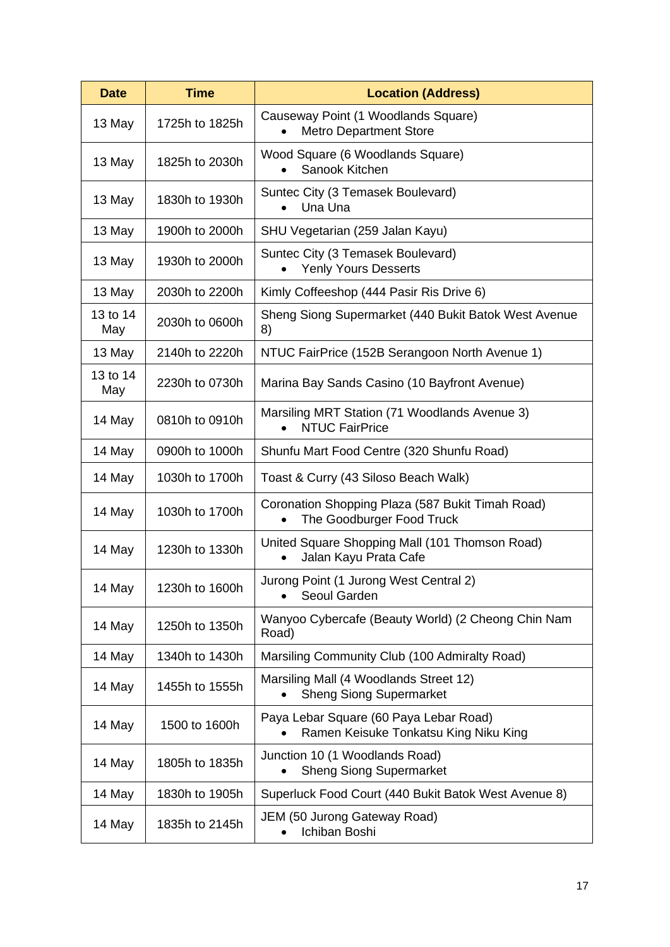| <b>Date</b>     | <b>Time</b>    | <b>Location (Address)</b>                                                       |
|-----------------|----------------|---------------------------------------------------------------------------------|
| 13 May          | 1725h to 1825h | Causeway Point (1 Woodlands Square)<br><b>Metro Department Store</b>            |
| 13 May          | 1825h to 2030h | Wood Square (6 Woodlands Square)<br>Sanook Kitchen                              |
| 13 May          | 1830h to 1930h | Suntec City (3 Temasek Boulevard)<br>Una Una                                    |
| 13 May          | 1900h to 2000h | SHU Vegetarian (259 Jalan Kayu)                                                 |
| 13 May          | 1930h to 2000h | Suntec City (3 Temasek Boulevard)<br><b>Yenly Yours Desserts</b>                |
| 13 May          | 2030h to 2200h | Kimly Coffeeshop (444 Pasir Ris Drive 6)                                        |
| 13 to 14<br>May | 2030h to 0600h | Sheng Siong Supermarket (440 Bukit Batok West Avenue<br>8)                      |
| 13 May          | 2140h to 2220h | NTUC FairPrice (152B Serangoon North Avenue 1)                                  |
| 13 to 14<br>May | 2230h to 0730h | Marina Bay Sands Casino (10 Bayfront Avenue)                                    |
| 14 May          | 0810h to 0910h | Marsiling MRT Station (71 Woodlands Avenue 3)<br><b>NTUC FairPrice</b>          |
| 14 May          | 0900h to 1000h | Shunfu Mart Food Centre (320 Shunfu Road)                                       |
| 14 May          | 1030h to 1700h | Toast & Curry (43 Siloso Beach Walk)                                            |
| 14 May          | 1030h to 1700h | Coronation Shopping Plaza (587 Bukit Timah Road)<br>The Goodburger Food Truck   |
| 14 May          | 1230h to 1330h | United Square Shopping Mall (101 Thomson Road)<br>Jalan Kayu Prata Cafe         |
| 14 May          | 1230h to 1600h | Jurong Point (1 Jurong West Central 2)<br>Seoul Garden                          |
| 14 May          | 1250h to 1350h | Wanyoo Cybercafe (Beauty World) (2 Cheong Chin Nam<br>Road)                     |
| 14 May          | 1340h to 1430h | Marsiling Community Club (100 Admiralty Road)                                   |
| 14 May          | 1455h to 1555h | Marsiling Mall (4 Woodlands Street 12)<br><b>Sheng Siong Supermarket</b>        |
| 14 May          | 1500 to 1600h  | Paya Lebar Square (60 Paya Lebar Road)<br>Ramen Keisuke Tonkatsu King Niku King |
| 14 May          | 1805h to 1835h | Junction 10 (1 Woodlands Road)<br><b>Sheng Siong Supermarket</b>                |
| 14 May          | 1830h to 1905h | Superluck Food Court (440 Bukit Batok West Avenue 8)                            |
| 14 May          | 1835h to 2145h | JEM (50 Jurong Gateway Road)<br>Ichiban Boshi                                   |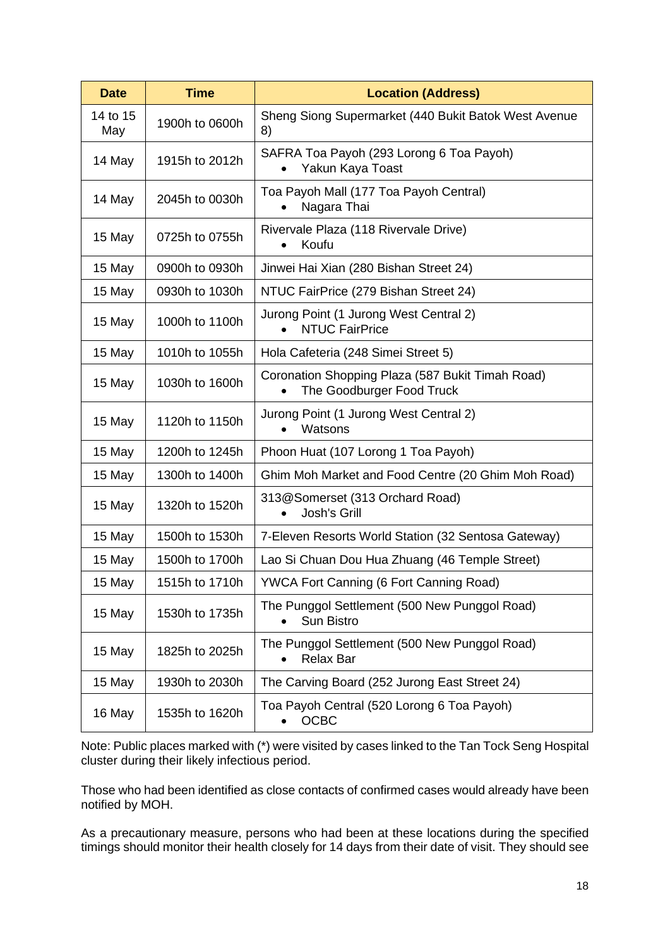| <b>Date</b>     | <b>Time</b>    | <b>Location (Address)</b>                                                     |
|-----------------|----------------|-------------------------------------------------------------------------------|
| 14 to 15<br>May | 1900h to 0600h | Sheng Siong Supermarket (440 Bukit Batok West Avenue<br>8)                    |
| 14 May          | 1915h to 2012h | SAFRA Toa Payoh (293 Lorong 6 Toa Payoh)<br>Yakun Kaya Toast                  |
| 14 May          | 2045h to 0030h | Toa Payoh Mall (177 Toa Payoh Central)<br>Nagara Thai                         |
| 15 May          | 0725h to 0755h | Rivervale Plaza (118 Rivervale Drive)<br>Koufu                                |
| 15 May          | 0900h to 0930h | Jinwei Hai Xian (280 Bishan Street 24)                                        |
| 15 May          | 0930h to 1030h | NTUC FairPrice (279 Bishan Street 24)                                         |
| 15 May          | 1000h to 1100h | Jurong Point (1 Jurong West Central 2)<br><b>NTUC FairPrice</b>               |
| 15 May          | 1010h to 1055h | Hola Cafeteria (248 Simei Street 5)                                           |
| 15 May          | 1030h to 1600h | Coronation Shopping Plaza (587 Bukit Timah Road)<br>The Goodburger Food Truck |
| 15 May          | 1120h to 1150h | Jurong Point (1 Jurong West Central 2)<br>Watsons                             |
| 15 May          | 1200h to 1245h | Phoon Huat (107 Lorong 1 Toa Payoh)                                           |
| 15 May          | 1300h to 1400h | Ghim Moh Market and Food Centre (20 Ghim Moh Road)                            |
| 15 May          | 1320h to 1520h | 313@Somerset (313 Orchard Road)<br><b>Josh's Grill</b>                        |
| 15 May          | 1500h to 1530h | 7-Eleven Resorts World Station (32 Sentosa Gateway)                           |
| 15 May          | 1500h to 1700h | Lao Si Chuan Dou Hua Zhuang (46 Temple Street)                                |
| 15 May          | 1515h to 1710h | YWCA Fort Canning (6 Fort Canning Road)                                       |
| 15 May          | 1530h to 1735h | The Punggol Settlement (500 New Punggol Road)<br>Sun Bistro                   |
| 15 May          | 1825h to 2025h | The Punggol Settlement (500 New Punggol Road)<br><b>Relax Bar</b>             |
| 15 May          | 1930h to 2030h | The Carving Board (252 Jurong East Street 24)                                 |
| 16 May          | 1535h to 1620h | Toa Payoh Central (520 Lorong 6 Toa Payoh)<br><b>OCBC</b>                     |

Note: Public places marked with (\*) were visited by cases linked to the Tan Tock Seng Hospital cluster during their likely infectious period.

Those who had been identified as close contacts of confirmed cases would already have been notified by MOH.

As a precautionary measure, persons who had been at these locations during the specified timings should monitor their health closely for 14 days from their date of visit. They should see